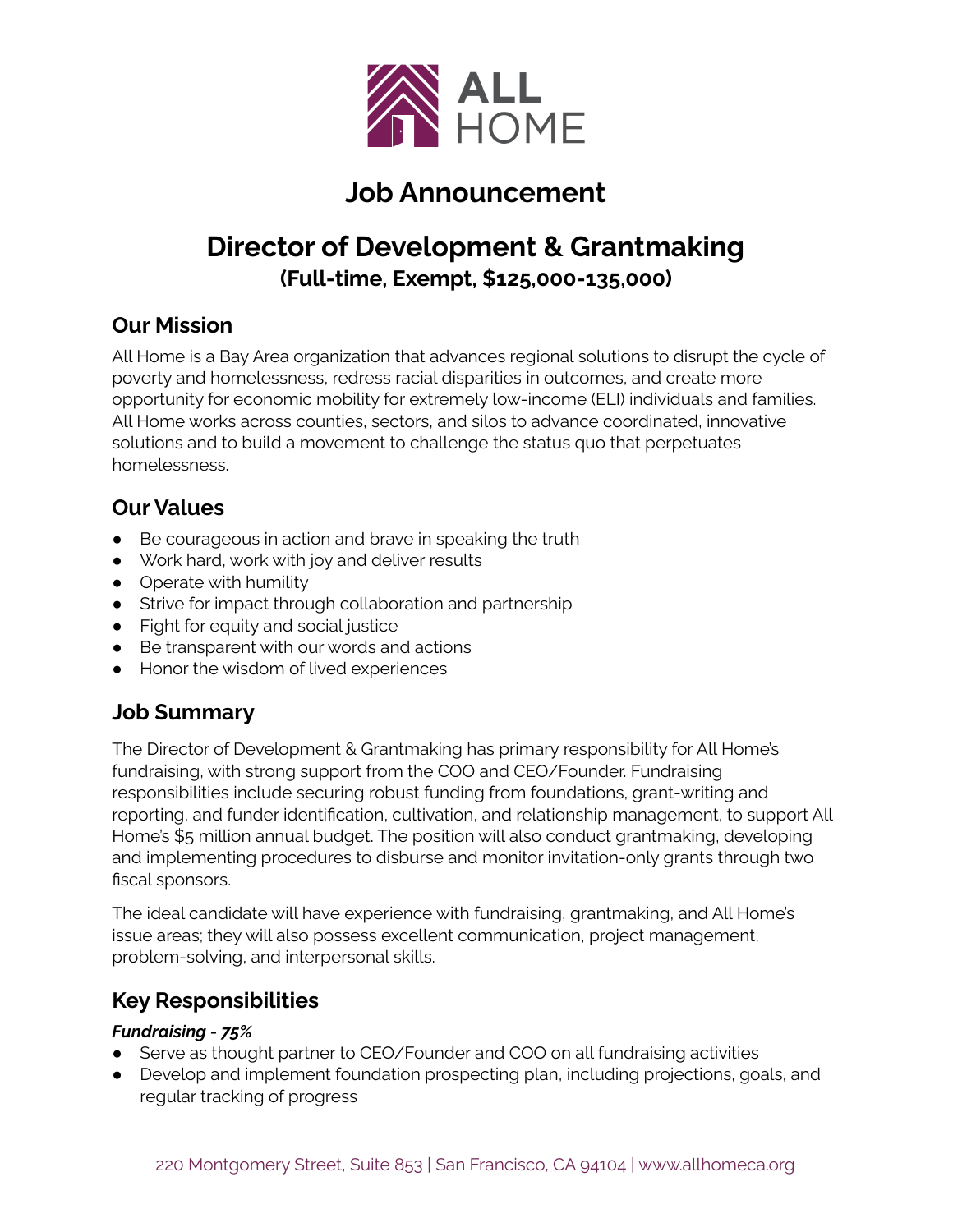

# **Job Announcement**

# **Director of Development & Grantmaking (Full-time, Exempt, \$125,000-135,000)**

#### **Our Mission**

All Home is a Bay Area organization that advances regional solutions to disrupt the cycle of poverty and homelessness, redress racial disparities in outcomes, and create more opportunity for economic mobility for extremely low-income (ELI) individuals and families. All Home works across counties, sectors, and silos to advance coordinated, innovative solutions and to build a movement to challenge the status quo that perpetuates homelessness.

#### **Our Values**

- Be courageous in action and brave in speaking the truth
- Work hard, work with joy and deliver results
- Operate with humility
- Strive for impact through collaboration and partnership
- Fight for equity and social justice
- Be transparent with our words and actions
- Honor the wisdom of lived experiences

# **Job Summary**

The Director of Development & Grantmaking has primary responsibility for All Home's fundraising, with strong support from the COO and CEO/Founder. Fundraising responsibilities include securing robust funding from foundations, grant-writing and reporting, and funder identification, cultivation, and relationship management, to support All Home's \$5 million annual budget. The position will also conduct grantmaking, developing and implementing procedures to disburse and monitor invitation-only grants through two fiscal sponsors.

The ideal candidate will have experience with fundraising, grantmaking, and All Home's issue areas; they will also possess excellent communication, project management, problem-solving, and interpersonal skills.

#### **Key Responsibilities**

#### *Fundraising - 75%*

- Serve as thought partner to CEO/Founder and COO on all fundraising activities
- Develop and implement foundation prospecting plan, including projections, goals, and regular tracking of progress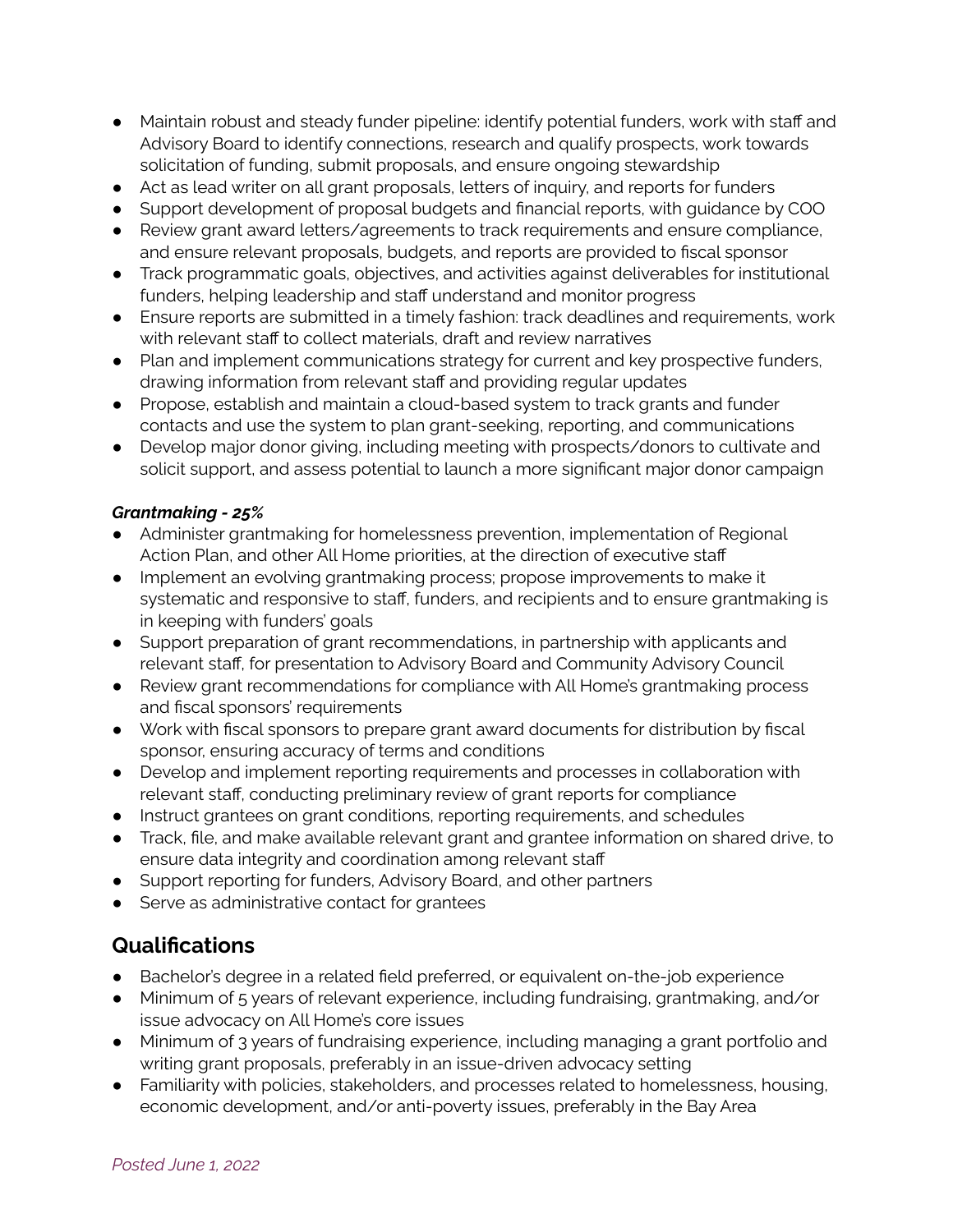- Maintain robust and steady funder pipeline: identify potential funders, work with staff and Advisory Board to identify connections, research and qualify prospects, work towards solicitation of funding, submit proposals, and ensure ongoing stewardship
- Act as lead writer on all grant proposals, letters of inquiry, and reports for funders
- Support development of proposal budgets and financial reports, with guidance by COO
- Review grant award letters/agreements to track requirements and ensure compliance, and ensure relevant proposals, budgets, and reports are provided to fiscal sponsor
- Track programmatic goals, objectives, and activities against deliverables for institutional funders, helping leadership and staff understand and monitor progress
- Ensure reports are submitted in a timely fashion: track deadlines and requirements, work with relevant staff to collect materials, draft and review narratives
- Plan and implement communications strategy for current and key prospective funders, drawing information from relevant staff and providing regular updates
- Propose, establish and maintain a cloud-based system to track grants and funder contacts and use the system to plan grant-seeking, reporting, and communications
- Develop major donor giving, including meeting with prospects/donors to cultivate and solicit support, and assess potential to launch a more significant major donor campaign

#### *Grantmaking - 25%*

- Administer grantmaking for homelessness prevention, implementation of Regional Action Plan, and other All Home priorities, at the direction of executive staff
- Implement an evolving grantmaking process; propose improvements to make it systematic and responsive to staff, funders, and recipients and to ensure grantmaking is in keeping with funders' goals
- Support preparation of grant recommendations, in partnership with applicants and relevant staff, for presentation to Advisory Board and Community Advisory Council
- Review grant recommendations for compliance with All Home's grantmaking process and fiscal sponsors' requirements
- Work with fiscal sponsors to prepare grant award documents for distribution by fiscal sponsor, ensuring accuracy of terms and conditions
- Develop and implement reporting requirements and processes in collaboration with relevant staff, conducting preliminary review of grant reports for compliance
- Instruct grantees on grant conditions, reporting requirements, and schedules
- Track, file, and make available relevant grant and grantee information on shared drive, to ensure data integrity and coordination among relevant staff
- Support reporting for funders, Advisory Board, and other partners
- Serve as administrative contact for grantees

#### **Qualifications**

- Bachelor's degree in a related field preferred, or equivalent on-the-job experience
- Minimum of 5 years of relevant experience, including fundraising, grantmaking, and/or issue advocacy on All Home's core issues
- Minimum of 3 years of fundraising experience, including managing a grant portfolio and writing grant proposals, preferably in an issue-driven advocacy setting
- Familiarity with policies, stakeholders, and processes related to homelessness, housing, economic development, and/or anti-poverty issues, preferably in the Bay Area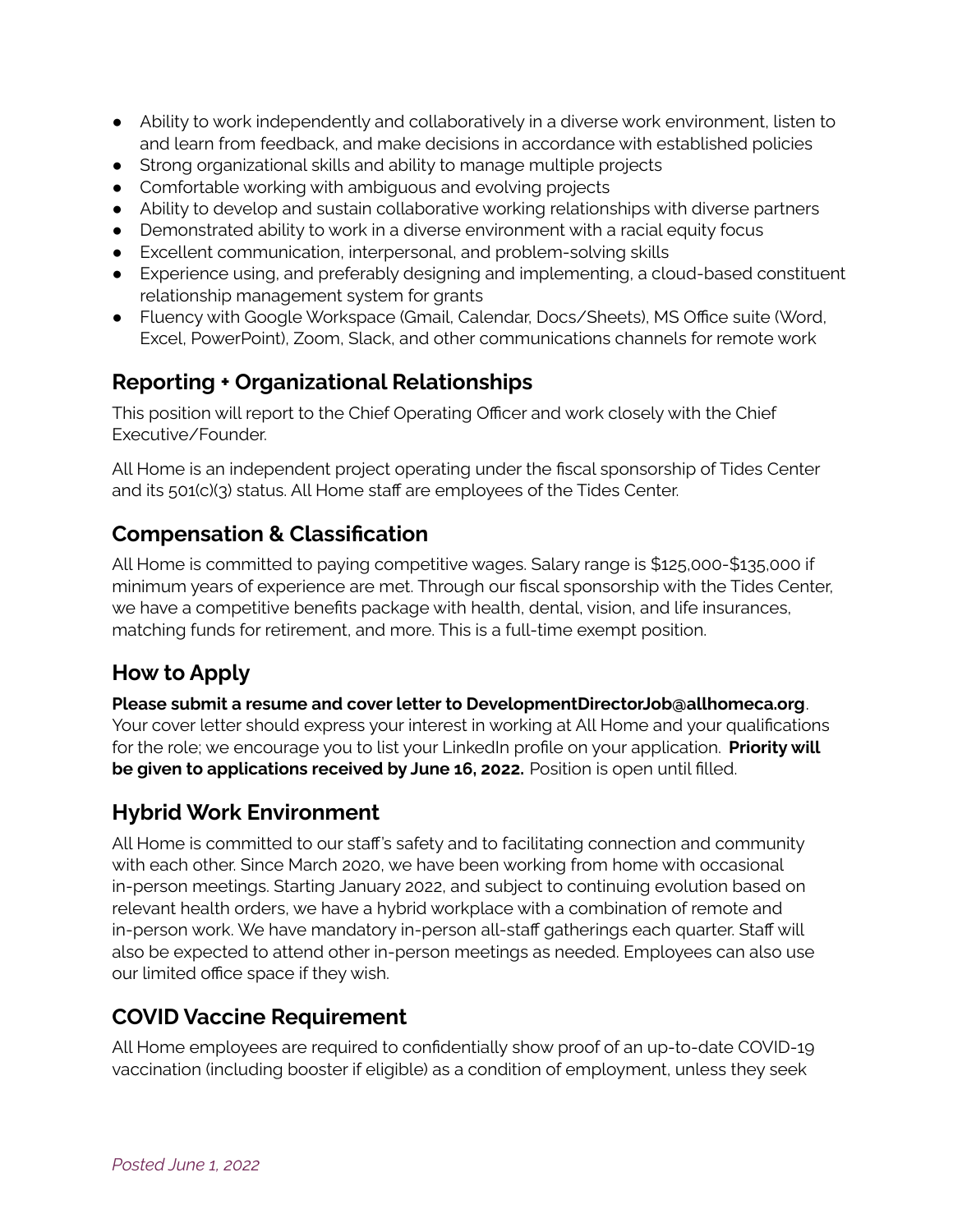- Ability to work independently and collaboratively in a diverse work environment, listen to and learn from feedback, and make decisions in accordance with established policies
- Strong organizational skills and ability to manage multiple projects
- Comfortable working with ambiguous and evolving projects
- Ability to develop and sustain collaborative working relationships with diverse partners
- Demonstrated ability to work in a diverse environment with a racial equity focus
- Excellent communication, interpersonal, and problem-solving skills
- Experience using, and preferably designing and implementing, a cloud-based constituent relationship management system for grants
- Fluency with Google Workspace (Gmail, Calendar, Docs/Sheets), MS Office suite (Word, Excel, PowerPoint), Zoom, Slack, and other communications channels for remote work

### **Reporting + Organizational Relationships**

This position will report to the Chief Operating Officer and work closely with the Chief Executive/Founder.

All Home is an independent project operating under the fiscal sponsorship of Tides Center and its 501(c)(3) status. All Home staff are employees of the Tides Center.

#### **Compensation & Classification**

All Home is committed to paying competitive wages. Salary range is \$125,000-\$135,000 if minimum years of experience are met. Through our fiscal sponsorship with the Tides Center, we have a competitive benefits package with health, dental, vision, and life insurances, matching funds for retirement, and more. This is a full-time exempt position.

# **How to Apply**

**Please submit a resume and cover letter to DevelopmentDirectorJob@allhomeca.org**. Your cover letter should express your interest in working at All Home and your qualifications for the role; we encourage you to list your LinkedIn profile on your application. **Priority will be given to applications received by June 16, 2022.** Position is open until filled.

# **Hybrid Work Environment**

All Home is committed to our staff's safety and to facilitating connection and community with each other. Since March 2020, we have been working from home with occasional in-person meetings. Starting January 2022, and subject to continuing evolution based on relevant health orders, we have a hybrid workplace with a combination of remote and in-person work. We have mandatory in-person all-staff gatherings each quarter. Staff will also be expected to attend other in-person meetings as needed. Employees can also use our limited office space if they wish.

#### **COVID Vaccine Requirement**

All Home employees are required to confidentially show proof of an up-to-date COVID-19 vaccination (including booster if eligible) as a condition of employment, unless they seek